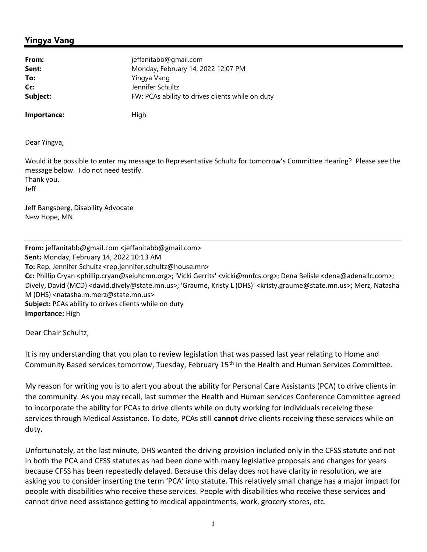## Yingya Vang

| From:       | jeffanitabb@gmail.com                            |
|-------------|--------------------------------------------------|
| Sent:       | Monday, February 14, 2022 12:07 PM               |
| To:         | Yingya Vang                                      |
| Cc:         | Jennifer Schultz                                 |
| Subject:    | FW: PCAs ability to drives clients while on duty |
| Importance: | High                                             |

Dear Yingva,

Would it be possible to enter my message to Representative Schultz for tomorrow's Committee Hearing? Please see the message below. I do not need testify. Thank you. Jeff

Jeff Bangsberg, Disability Advocate New Hope, MN

From: jeffanitabb@gmail.com <jeffanitabb@gmail.com> Sent: Monday, February 14, 2022 10:13 AM To: Rep. Jennifer Schultz <rep.jennifer.schultz@house.mn> Cc: Phillip Cryan <phillip.cryan@seiuhcmn.org>; 'Vicki Gerrits' <vicki@mnfcs.org>; Dena Belisle <dena@adenallc.com>; Dively, David (MCD) <david.dively@state.mn.us>; 'Graume, Kristy L (DHS)' <kristy.graume@state.mn.us>; Merz, Natasha M (DHS) <natasha.m.merz@state.mn.us> Subject: PCAs ability to drives clients while on duty Importance: High

Dear Chair Schultz,

It is my understanding that you plan to review legislation that was passed last year relating to Home and Community Based services tomorrow, Tuesday, February 15<sup>th</sup> in the Health and Human Services Committee.

My reason for writing you is to alert you about the ability for Personal Care Assistants (PCA) to drive clients in the community. As you may recall, last summer the Health and Human services Conference Committee agreed to incorporate the ability for PCAs to drive clients while on duty working for individuals receiving these services through Medical Assistance. To date, PCAs still cannot drive clients receiving these services while on duty.

Unfortunately, at the last minute, DHS wanted the driving provision included only in the CFSS statute and not in both the PCA and CFSS statutes as had been done with many legislative proposals and changes for years because CFSS has been repeatedly delayed. Because this delay does not have clarity in resolution, we are asking you to consider inserting the term 'PCA' into statute. This relatively small change has a major impact for people with disabilities who receive these services. People with disabilities who receive these services and cannot drive need assistance getting to medical appointments, work, grocery stores, etc.